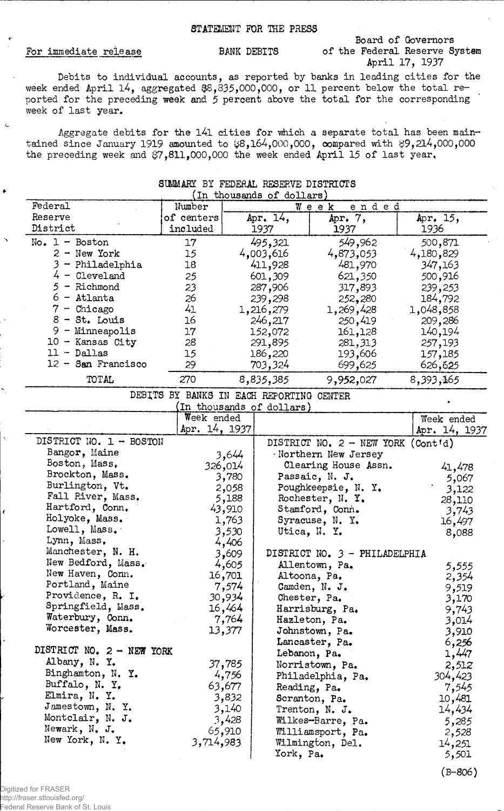## STATEMENT FOR THE PRESS

## For immediate release BANK DEBITS

 $\mathbf{C}$ 

 $\bullet$ 

## Board of Governors of the Federal Reserve System April 17, 1937

Debits to individual accounts, as reported by banks in leading cities for the week ended April 14, aggregated  $$8,335,000,000$ , or 11 percent below the total reported for the preceding week and 5 percent above the total for the corresponding week of last year.

Aggregate debits for the l4l cities for which a separate total has been maintained since January 1919 amounted to  $$8,164,000,000$ , compared with  $$9,214,000,000$ the preceding week and  $37,811,000,000$  the week ended April 15 of last year.

| (In thousands of dollars) |                                          |               |                           |                                      |               |
|---------------------------|------------------------------------------|---------------|---------------------------|--------------------------------------|---------------|
| Federal                   | Number                                   | ended<br>Week |                           |                                      |               |
| Reserve                   | of centers                               |               | Apr. 14,                  | Apr. 7,                              | Apr. 15,      |
| District                  | included                                 |               | 1937                      | 1937                                 | 1936          |
| $No. 1 - Boston$          | 17                                       |               | 495,321                   | 549,962                              | 500,871       |
| $2 - New York$            | 15                                       |               | 4,003,616                 | 4,873,053                            | 4,180,829     |
| 3.<br>- Philadelphia      | 18                                       |               | 411,928                   | 481,970                              | 347,163       |
| $4 -$ Cleveland           | 25                                       |               | 601,309                   | 621,350                              | 500,916       |
| $5 -$ Richmond            | 23                                       |               | 287,906                   | 317,893                              | 239,253       |
| $6 -$ Atlanta             | 26                                       |               | 239,298                   | 252,280                              | 184,792       |
| $7 -$ Chicago             | 41                                       |               | 1,216,279                 | 1,269,428                            | 1,048,858     |
| $8 - St.$ Louis           | 16                                       |               | 246,217                   | 250,419                              | 209,286       |
| $9 -$ Minneapolis         | 17                                       |               | 152,072                   | 161,128                              | 140,194       |
| $10 -$ Kansas City        | 28                                       |               | 291,895                   | 281,313                              | 257,193       |
| $11 - Dallas$             | 15                                       |               | 186,220                   | 193,606                              | 157,185       |
| $12 -$ San Francisco      | 29                                       |               | 703,324                   | 699,625                              | 626,625       |
| TOTAL                     | 270                                      |               |                           |                                      |               |
|                           |                                          |               | 8,835,385                 | 9,952,027                            | 8,393,165     |
|                           | DEBITS BY BANKS IN EACH REPORTING CENTER |               |                           |                                      |               |
|                           |                                          |               | (In thousands of dollars) |                                      |               |
|                           | Week ended                               |               |                           |                                      | Week ended    |
|                           | Apr. 14, 1937                            |               |                           |                                      | Apr. 14, 1937 |
| DISTRICT NO. 1 - BOSTON   |                                          |               |                           | DISTRICT NO. $2$ - NEW YORK (Contid) |               |
| Bangor, Maine             |                                          | 3,644         |                           | Northern New Jersey                  |               |
| Boston, Mass,             |                                          | 326,014       |                           | Clearing House Assn.                 | 41,478        |
| Brockton, Mass.           |                                          | 3,780         |                           | Passaic, N. J.                       | 5,067         |
| Burlington, Vt.           |                                          | 2,058         |                           | Poughkeepsie, N. Y.                  | 3,122         |
| Fall River, Mass.         |                                          | 5,188         |                           | Rochester, N. Y.                     | 28,110        |
| Hartford, Conn.           |                                          | 43,910        |                           | Stamford, Conn.                      | 3,743         |
| Holyoke, Mass.            |                                          | 1,763         |                           | Syracuse, N. Y.                      | 16,497        |
| Lowell, Mass.             |                                          | 3,530         |                           | Utica, N. Y.                         | 8,088         |
| Lynn, Mass.               |                                          | 4,406         |                           |                                      |               |
| Manchester, N. H.         |                                          | 3,609         |                           | DISTRICT NO. 3 - PHILADELPHIA        |               |
| New Bedford, Mass.        |                                          | 4,605         |                           | Allentown, Pa.                       | 5,555         |
| New Haven, Conn.          |                                          | 16,701        |                           | Altoona, Pa.                         | 2,354         |
| Portland, Maine           |                                          | 7,574         |                           | Camden, N. J.                        | 9,519         |
| Providence, R. I.         |                                          | 30,934        |                           | Chester, Pa.                         | 3,170         |
| Springfield, Mass.        |                                          | 16,464        |                           | Harrisburg, Pa.                      | 9,743         |
| Waterbury, Conn.          |                                          | 7,764         |                           | Hazleton, Pa.                        | 3,014         |
| Worcester, Mass.          |                                          | 13,377        |                           | Johnstown, Pa.                       | 3,910         |
|                           |                                          |               |                           | Lancaster, Pa.                       | 6,256         |
| DISTRICT NO. 2 - NEW YORK |                                          |               |                           | Lebanon, Pa.                         | 1,447         |
| Albany, N. Y.             |                                          | 37,785        |                           | Norristown, Pa.                      | 2,512         |
| Binghamton, N. Y.         |                                          | 4,756         |                           | Philadelphia, Pa.                    | 304,423       |
| Buffalo, N. Y.            |                                          | 63,677        | Reading, Pa.              |                                      | 7,545         |
| Elmira, N. Y.             |                                          | 3,832         |                           | Scranton, Pa.                        | 10,481        |
| Jamestown, N.Y.           |                                          | 3,140         |                           | Trenton, N. J.                       | 14,434        |
| Montclair, N. J.          |                                          | 3,428         |                           | Wilkes-Barre, Pa.                    | 5,285         |
|                           |                                          |               |                           |                                      |               |

65,910 3,714,983

## StMMARY BY FEDERAL RESERVE DISTRICTS

Newark, N, J. New York, N. Y,

(B-806)

Williamsport, Pa. 2,528 Wilmington, Del. 14,251<br>York, Pa. 5,501

York, Pa.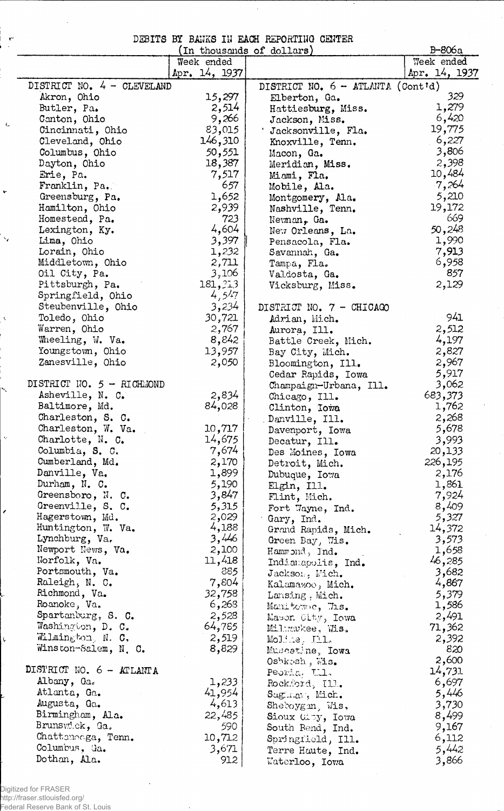|  |  | DEBITS BY BANKS IN EACH REPORTING CENTER |  |
|--|--|------------------------------------------|--|
|  |  |                                          |  |

| Week ended<br>Week ended<br>Apr. 14, 1937<br>Apr. 14, 1937<br>DISTRICT NO. 4 - CLEVELAND<br>DISTRICT NO. 6 - ATLANTA (Cont'd)<br>329<br>15,297<br>Akron, Ohio<br>Elberton, Ga.<br>1,279<br>2,514<br>Butler, Pa.<br>Hattiesburg, Miss.<br>6,420<br>9,266<br>Canton, Ohio<br>Jackson, Miss.<br>19,775<br>83,015<br>Cincinnati, Ohio<br>Jacksonville, Fla.<br>6,227<br>146,310<br>Cleveland, Ohio<br>Knoxville, Tenn.<br>3,806<br>50,551<br>Columbus, Ohio<br>Macon, Ga.<br>2,398<br>18,387<br>Dayton, Ohio<br>Meridian, Miss.<br>10,484<br>7,517<br>Erie, Pa.<br>Miami, Fla.<br>7,264<br>657<br>Franklin, Pa.<br>Mobile, Ala.<br>1,652<br>5,210<br>Greensburg, Pa.<br>Montgomery, Ala.<br>2,939<br>19,172<br>Hamilton, Ohio<br>Nashville, Tenn.<br>669<br>723<br>Homestead, Pa.<br>Newman, Ga.<br>4,604<br>50,248<br>Lexington, Ky.<br>New Orleans, La.<br>3,397<br>1,990<br>Lima, Ohio<br>Pensacola, Fla.<br>7,913<br>Lorain, Ohio<br>1,232<br>Savannah, Ga.<br>6,958<br>2,711<br>Middletown, Ohio<br>Tampa, Fla.<br>857<br>3,106<br>Oil City, Pa.<br>Valdosta, Ga.<br>181, 213<br>Pittsburgh, Pa.<br>2,129<br>Vicksburg, Miss.<br>4,547<br>Springfield, Ohio<br>3,234<br>Steubenville, Ohio<br>DISTRICT NO. 7 - CHICAGO<br>941<br>30,721<br>Toledo, Ohio<br>Adrian, Mich.<br>2,512<br>2,767<br>Warren, Ohio<br>Aurora, Ill.<br>8,842<br>Wheeling, W. Va.<br>4,197<br>Battle Creek, Mich.<br>13,957<br>Youngstown, Ohio<br>2,827<br>Bay City, Mich.<br>Zanesville, Ohio<br>2,967<br>2,050<br>Bloomington, Ill.<br>5,917<br>Cedar Rapids, Iowa<br>DISTRICT NO. 5 - RICHMOND<br>3,062<br>Champaign-Urbana, Ill.<br>2,834<br>683,373<br>Asheville, N. C.<br>Chicago, Ill.<br>84,028<br>Baltimore, Md.<br>1,762<br>Clinton, Iowa<br>2,268<br>Charleston, S. C.<br>Danville, Ill.<br>10,717<br>5,678<br>Charleston, W. Va.<br>Davenport, Iowa<br>14,675<br>3,993<br>Charlotte, N. C.<br>Decatur, Ill.<br>7,674<br>20,133<br>Columbia, S. C.<br>Des Moines, Iowa<br>2,170<br>Cumberland, Md.<br>226,195<br>Detroit, Mich.<br>1,899<br>Danville, Va.<br>2,176<br>Dubuque, Iowa<br>5,190<br>1,861<br>Durham, N. C.<br>Elgin, Ill.<br>3,847<br>7,924<br>Greensboro, N. C.<br>Flint, Mich.<br>8,409<br>5,315<br>Greenville, S. C.<br>Fort Wayne, Ind.<br>2,029<br>5,327<br>Hagerstown, Md.<br>Gary, Ind.<br>4,188<br>Huntington, W. Va.<br>14,372<br>Grand Rapids, Mich.<br>3,446<br>Lynchburg, Va.<br>3,573<br>Green Bay, Wis.<br>Newport News, Va.<br>2,100<br>1,658<br>Hammond, Ind.<br>11,418<br>Norfolk, Va.<br>46,285<br>Indianapolis, Ind.<br>885<br>Portsmouth, Va.<br>3,682<br>Jackson, Mich.<br>7,804<br>4,867<br>Raleigh, N. C.<br>Kalamazoo, Mich.<br>32,758<br>Richmond, Va.<br>5,379<br>Lansing, Mich.<br>6,268<br>Roanoke, Va.<br>1,586<br>Manitowne, Tis.<br>Spartanburg, S. C.<br>2,528<br>2,491<br>Mason City, Iowa<br>Washington, D. C.<br>64,785<br>71,362<br>Miltrakee, Wis.<br>Wilmington, N. C.<br>2,519<br>2,392<br>Moline, Ill.<br>Winston-Salem, N. C.<br>8,829<br>820<br>Muscatine, Iowa<br>2,600<br>Oshkosh, Wis.<br>DISTRICT NO. 6 - ATLANTA<br>14,731<br>Peoria, TII,<br>Albany, Ga.<br>1,233<br>6,697<br>Rockford, Ill.<br>41,954<br>Atlanta, Ga.<br>5,446<br>Suginav, Mich.<br>4,613<br>Augusta, Ga.<br>3,730<br>Sheboygan, Wis.<br>22,485<br>Birmingham, Ala.<br>8,499<br>Sioux City, Iowa<br>Brunswick, Ga.<br>590<br>9,167<br>South Bend, Ind.<br>Chatteneega, Tenn.<br>10,712<br>6,112<br>Springfield, Ill.<br>Columbus, Ga.<br>3,671<br>5,442<br>Terre Haute, Ind.<br>Dothan, Ala.<br>912 |  | (In thousands of dollars) | B-806a |
|---------------------------------------------------------------------------------------------------------------------------------------------------------------------------------------------------------------------------------------------------------------------------------------------------------------------------------------------------------------------------------------------------------------------------------------------------------------------------------------------------------------------------------------------------------------------------------------------------------------------------------------------------------------------------------------------------------------------------------------------------------------------------------------------------------------------------------------------------------------------------------------------------------------------------------------------------------------------------------------------------------------------------------------------------------------------------------------------------------------------------------------------------------------------------------------------------------------------------------------------------------------------------------------------------------------------------------------------------------------------------------------------------------------------------------------------------------------------------------------------------------------------------------------------------------------------------------------------------------------------------------------------------------------------------------------------------------------------------------------------------------------------------------------------------------------------------------------------------------------------------------------------------------------------------------------------------------------------------------------------------------------------------------------------------------------------------------------------------------------------------------------------------------------------------------------------------------------------------------------------------------------------------------------------------------------------------------------------------------------------------------------------------------------------------------------------------------------------------------------------------------------------------------------------------------------------------------------------------------------------------------------------------------------------------------------------------------------------------------------------------------------------------------------------------------------------------------------------------------------------------------------------------------------------------------------------------------------------------------------------------------------------------------------------------------------------------------------------------------------------------------------------------------------------------------------------------------------------------------------------------------------------------------------------------------------------------------------------------------------------------------------------------------------------------------------------------------------------------------------------------------------------|--|---------------------------|--------|
|                                                                                                                                                                                                                                                                                                                                                                                                                                                                                                                                                                                                                                                                                                                                                                                                                                                                                                                                                                                                                                                                                                                                                                                                                                                                                                                                                                                                                                                                                                                                                                                                                                                                                                                                                                                                                                                                                                                                                                                                                                                                                                                                                                                                                                                                                                                                                                                                                                                                                                                                                                                                                                                                                                                                                                                                                                                                                                                                                                                                                                                                                                                                                                                                                                                                                                                                                                                                                                                                                                                     |  |                           |        |
|                                                                                                                                                                                                                                                                                                                                                                                                                                                                                                                                                                                                                                                                                                                                                                                                                                                                                                                                                                                                                                                                                                                                                                                                                                                                                                                                                                                                                                                                                                                                                                                                                                                                                                                                                                                                                                                                                                                                                                                                                                                                                                                                                                                                                                                                                                                                                                                                                                                                                                                                                                                                                                                                                                                                                                                                                                                                                                                                                                                                                                                                                                                                                                                                                                                                                                                                                                                                                                                                                                                     |  |                           |        |
|                                                                                                                                                                                                                                                                                                                                                                                                                                                                                                                                                                                                                                                                                                                                                                                                                                                                                                                                                                                                                                                                                                                                                                                                                                                                                                                                                                                                                                                                                                                                                                                                                                                                                                                                                                                                                                                                                                                                                                                                                                                                                                                                                                                                                                                                                                                                                                                                                                                                                                                                                                                                                                                                                                                                                                                                                                                                                                                                                                                                                                                                                                                                                                                                                                                                                                                                                                                                                                                                                                                     |  |                           |        |
|                                                                                                                                                                                                                                                                                                                                                                                                                                                                                                                                                                                                                                                                                                                                                                                                                                                                                                                                                                                                                                                                                                                                                                                                                                                                                                                                                                                                                                                                                                                                                                                                                                                                                                                                                                                                                                                                                                                                                                                                                                                                                                                                                                                                                                                                                                                                                                                                                                                                                                                                                                                                                                                                                                                                                                                                                                                                                                                                                                                                                                                                                                                                                                                                                                                                                                                                                                                                                                                                                                                     |  |                           |        |
|                                                                                                                                                                                                                                                                                                                                                                                                                                                                                                                                                                                                                                                                                                                                                                                                                                                                                                                                                                                                                                                                                                                                                                                                                                                                                                                                                                                                                                                                                                                                                                                                                                                                                                                                                                                                                                                                                                                                                                                                                                                                                                                                                                                                                                                                                                                                                                                                                                                                                                                                                                                                                                                                                                                                                                                                                                                                                                                                                                                                                                                                                                                                                                                                                                                                                                                                                                                                                                                                                                                     |  |                           |        |
|                                                                                                                                                                                                                                                                                                                                                                                                                                                                                                                                                                                                                                                                                                                                                                                                                                                                                                                                                                                                                                                                                                                                                                                                                                                                                                                                                                                                                                                                                                                                                                                                                                                                                                                                                                                                                                                                                                                                                                                                                                                                                                                                                                                                                                                                                                                                                                                                                                                                                                                                                                                                                                                                                                                                                                                                                                                                                                                                                                                                                                                                                                                                                                                                                                                                                                                                                                                                                                                                                                                     |  |                           |        |
|                                                                                                                                                                                                                                                                                                                                                                                                                                                                                                                                                                                                                                                                                                                                                                                                                                                                                                                                                                                                                                                                                                                                                                                                                                                                                                                                                                                                                                                                                                                                                                                                                                                                                                                                                                                                                                                                                                                                                                                                                                                                                                                                                                                                                                                                                                                                                                                                                                                                                                                                                                                                                                                                                                                                                                                                                                                                                                                                                                                                                                                                                                                                                                                                                                                                                                                                                                                                                                                                                                                     |  |                           |        |
|                                                                                                                                                                                                                                                                                                                                                                                                                                                                                                                                                                                                                                                                                                                                                                                                                                                                                                                                                                                                                                                                                                                                                                                                                                                                                                                                                                                                                                                                                                                                                                                                                                                                                                                                                                                                                                                                                                                                                                                                                                                                                                                                                                                                                                                                                                                                                                                                                                                                                                                                                                                                                                                                                                                                                                                                                                                                                                                                                                                                                                                                                                                                                                                                                                                                                                                                                                                                                                                                                                                     |  |                           |        |
|                                                                                                                                                                                                                                                                                                                                                                                                                                                                                                                                                                                                                                                                                                                                                                                                                                                                                                                                                                                                                                                                                                                                                                                                                                                                                                                                                                                                                                                                                                                                                                                                                                                                                                                                                                                                                                                                                                                                                                                                                                                                                                                                                                                                                                                                                                                                                                                                                                                                                                                                                                                                                                                                                                                                                                                                                                                                                                                                                                                                                                                                                                                                                                                                                                                                                                                                                                                                                                                                                                                     |  |                           |        |
|                                                                                                                                                                                                                                                                                                                                                                                                                                                                                                                                                                                                                                                                                                                                                                                                                                                                                                                                                                                                                                                                                                                                                                                                                                                                                                                                                                                                                                                                                                                                                                                                                                                                                                                                                                                                                                                                                                                                                                                                                                                                                                                                                                                                                                                                                                                                                                                                                                                                                                                                                                                                                                                                                                                                                                                                                                                                                                                                                                                                                                                                                                                                                                                                                                                                                                                                                                                                                                                                                                                     |  |                           |        |
|                                                                                                                                                                                                                                                                                                                                                                                                                                                                                                                                                                                                                                                                                                                                                                                                                                                                                                                                                                                                                                                                                                                                                                                                                                                                                                                                                                                                                                                                                                                                                                                                                                                                                                                                                                                                                                                                                                                                                                                                                                                                                                                                                                                                                                                                                                                                                                                                                                                                                                                                                                                                                                                                                                                                                                                                                                                                                                                                                                                                                                                                                                                                                                                                                                                                                                                                                                                                                                                                                                                     |  |                           |        |
|                                                                                                                                                                                                                                                                                                                                                                                                                                                                                                                                                                                                                                                                                                                                                                                                                                                                                                                                                                                                                                                                                                                                                                                                                                                                                                                                                                                                                                                                                                                                                                                                                                                                                                                                                                                                                                                                                                                                                                                                                                                                                                                                                                                                                                                                                                                                                                                                                                                                                                                                                                                                                                                                                                                                                                                                                                                                                                                                                                                                                                                                                                                                                                                                                                                                                                                                                                                                                                                                                                                     |  |                           |        |
|                                                                                                                                                                                                                                                                                                                                                                                                                                                                                                                                                                                                                                                                                                                                                                                                                                                                                                                                                                                                                                                                                                                                                                                                                                                                                                                                                                                                                                                                                                                                                                                                                                                                                                                                                                                                                                                                                                                                                                                                                                                                                                                                                                                                                                                                                                                                                                                                                                                                                                                                                                                                                                                                                                                                                                                                                                                                                                                                                                                                                                                                                                                                                                                                                                                                                                                                                                                                                                                                                                                     |  |                           |        |
|                                                                                                                                                                                                                                                                                                                                                                                                                                                                                                                                                                                                                                                                                                                                                                                                                                                                                                                                                                                                                                                                                                                                                                                                                                                                                                                                                                                                                                                                                                                                                                                                                                                                                                                                                                                                                                                                                                                                                                                                                                                                                                                                                                                                                                                                                                                                                                                                                                                                                                                                                                                                                                                                                                                                                                                                                                                                                                                                                                                                                                                                                                                                                                                                                                                                                                                                                                                                                                                                                                                     |  |                           |        |
|                                                                                                                                                                                                                                                                                                                                                                                                                                                                                                                                                                                                                                                                                                                                                                                                                                                                                                                                                                                                                                                                                                                                                                                                                                                                                                                                                                                                                                                                                                                                                                                                                                                                                                                                                                                                                                                                                                                                                                                                                                                                                                                                                                                                                                                                                                                                                                                                                                                                                                                                                                                                                                                                                                                                                                                                                                                                                                                                                                                                                                                                                                                                                                                                                                                                                                                                                                                                                                                                                                                     |  |                           |        |
|                                                                                                                                                                                                                                                                                                                                                                                                                                                                                                                                                                                                                                                                                                                                                                                                                                                                                                                                                                                                                                                                                                                                                                                                                                                                                                                                                                                                                                                                                                                                                                                                                                                                                                                                                                                                                                                                                                                                                                                                                                                                                                                                                                                                                                                                                                                                                                                                                                                                                                                                                                                                                                                                                                                                                                                                                                                                                                                                                                                                                                                                                                                                                                                                                                                                                                                                                                                                                                                                                                                     |  |                           |        |
|                                                                                                                                                                                                                                                                                                                                                                                                                                                                                                                                                                                                                                                                                                                                                                                                                                                                                                                                                                                                                                                                                                                                                                                                                                                                                                                                                                                                                                                                                                                                                                                                                                                                                                                                                                                                                                                                                                                                                                                                                                                                                                                                                                                                                                                                                                                                                                                                                                                                                                                                                                                                                                                                                                                                                                                                                                                                                                                                                                                                                                                                                                                                                                                                                                                                                                                                                                                                                                                                                                                     |  |                           |        |
|                                                                                                                                                                                                                                                                                                                                                                                                                                                                                                                                                                                                                                                                                                                                                                                                                                                                                                                                                                                                                                                                                                                                                                                                                                                                                                                                                                                                                                                                                                                                                                                                                                                                                                                                                                                                                                                                                                                                                                                                                                                                                                                                                                                                                                                                                                                                                                                                                                                                                                                                                                                                                                                                                                                                                                                                                                                                                                                                                                                                                                                                                                                                                                                                                                                                                                                                                                                                                                                                                                                     |  |                           |        |
|                                                                                                                                                                                                                                                                                                                                                                                                                                                                                                                                                                                                                                                                                                                                                                                                                                                                                                                                                                                                                                                                                                                                                                                                                                                                                                                                                                                                                                                                                                                                                                                                                                                                                                                                                                                                                                                                                                                                                                                                                                                                                                                                                                                                                                                                                                                                                                                                                                                                                                                                                                                                                                                                                                                                                                                                                                                                                                                                                                                                                                                                                                                                                                                                                                                                                                                                                                                                                                                                                                                     |  |                           |        |
|                                                                                                                                                                                                                                                                                                                                                                                                                                                                                                                                                                                                                                                                                                                                                                                                                                                                                                                                                                                                                                                                                                                                                                                                                                                                                                                                                                                                                                                                                                                                                                                                                                                                                                                                                                                                                                                                                                                                                                                                                                                                                                                                                                                                                                                                                                                                                                                                                                                                                                                                                                                                                                                                                                                                                                                                                                                                                                                                                                                                                                                                                                                                                                                                                                                                                                                                                                                                                                                                                                                     |  |                           |        |
|                                                                                                                                                                                                                                                                                                                                                                                                                                                                                                                                                                                                                                                                                                                                                                                                                                                                                                                                                                                                                                                                                                                                                                                                                                                                                                                                                                                                                                                                                                                                                                                                                                                                                                                                                                                                                                                                                                                                                                                                                                                                                                                                                                                                                                                                                                                                                                                                                                                                                                                                                                                                                                                                                                                                                                                                                                                                                                                                                                                                                                                                                                                                                                                                                                                                                                                                                                                                                                                                                                                     |  |                           |        |
|                                                                                                                                                                                                                                                                                                                                                                                                                                                                                                                                                                                                                                                                                                                                                                                                                                                                                                                                                                                                                                                                                                                                                                                                                                                                                                                                                                                                                                                                                                                                                                                                                                                                                                                                                                                                                                                                                                                                                                                                                                                                                                                                                                                                                                                                                                                                                                                                                                                                                                                                                                                                                                                                                                                                                                                                                                                                                                                                                                                                                                                                                                                                                                                                                                                                                                                                                                                                                                                                                                                     |  |                           |        |
|                                                                                                                                                                                                                                                                                                                                                                                                                                                                                                                                                                                                                                                                                                                                                                                                                                                                                                                                                                                                                                                                                                                                                                                                                                                                                                                                                                                                                                                                                                                                                                                                                                                                                                                                                                                                                                                                                                                                                                                                                                                                                                                                                                                                                                                                                                                                                                                                                                                                                                                                                                                                                                                                                                                                                                                                                                                                                                                                                                                                                                                                                                                                                                                                                                                                                                                                                                                                                                                                                                                     |  |                           |        |
|                                                                                                                                                                                                                                                                                                                                                                                                                                                                                                                                                                                                                                                                                                                                                                                                                                                                                                                                                                                                                                                                                                                                                                                                                                                                                                                                                                                                                                                                                                                                                                                                                                                                                                                                                                                                                                                                                                                                                                                                                                                                                                                                                                                                                                                                                                                                                                                                                                                                                                                                                                                                                                                                                                                                                                                                                                                                                                                                                                                                                                                                                                                                                                                                                                                                                                                                                                                                                                                                                                                     |  |                           |        |
|                                                                                                                                                                                                                                                                                                                                                                                                                                                                                                                                                                                                                                                                                                                                                                                                                                                                                                                                                                                                                                                                                                                                                                                                                                                                                                                                                                                                                                                                                                                                                                                                                                                                                                                                                                                                                                                                                                                                                                                                                                                                                                                                                                                                                                                                                                                                                                                                                                                                                                                                                                                                                                                                                                                                                                                                                                                                                                                                                                                                                                                                                                                                                                                                                                                                                                                                                                                                                                                                                                                     |  |                           |        |
|                                                                                                                                                                                                                                                                                                                                                                                                                                                                                                                                                                                                                                                                                                                                                                                                                                                                                                                                                                                                                                                                                                                                                                                                                                                                                                                                                                                                                                                                                                                                                                                                                                                                                                                                                                                                                                                                                                                                                                                                                                                                                                                                                                                                                                                                                                                                                                                                                                                                                                                                                                                                                                                                                                                                                                                                                                                                                                                                                                                                                                                                                                                                                                                                                                                                                                                                                                                                                                                                                                                     |  |                           |        |
|                                                                                                                                                                                                                                                                                                                                                                                                                                                                                                                                                                                                                                                                                                                                                                                                                                                                                                                                                                                                                                                                                                                                                                                                                                                                                                                                                                                                                                                                                                                                                                                                                                                                                                                                                                                                                                                                                                                                                                                                                                                                                                                                                                                                                                                                                                                                                                                                                                                                                                                                                                                                                                                                                                                                                                                                                                                                                                                                                                                                                                                                                                                                                                                                                                                                                                                                                                                                                                                                                                                     |  |                           |        |
|                                                                                                                                                                                                                                                                                                                                                                                                                                                                                                                                                                                                                                                                                                                                                                                                                                                                                                                                                                                                                                                                                                                                                                                                                                                                                                                                                                                                                                                                                                                                                                                                                                                                                                                                                                                                                                                                                                                                                                                                                                                                                                                                                                                                                                                                                                                                                                                                                                                                                                                                                                                                                                                                                                                                                                                                                                                                                                                                                                                                                                                                                                                                                                                                                                                                                                                                                                                                                                                                                                                     |  |                           |        |
|                                                                                                                                                                                                                                                                                                                                                                                                                                                                                                                                                                                                                                                                                                                                                                                                                                                                                                                                                                                                                                                                                                                                                                                                                                                                                                                                                                                                                                                                                                                                                                                                                                                                                                                                                                                                                                                                                                                                                                                                                                                                                                                                                                                                                                                                                                                                                                                                                                                                                                                                                                                                                                                                                                                                                                                                                                                                                                                                                                                                                                                                                                                                                                                                                                                                                                                                                                                                                                                                                                                     |  |                           |        |
|                                                                                                                                                                                                                                                                                                                                                                                                                                                                                                                                                                                                                                                                                                                                                                                                                                                                                                                                                                                                                                                                                                                                                                                                                                                                                                                                                                                                                                                                                                                                                                                                                                                                                                                                                                                                                                                                                                                                                                                                                                                                                                                                                                                                                                                                                                                                                                                                                                                                                                                                                                                                                                                                                                                                                                                                                                                                                                                                                                                                                                                                                                                                                                                                                                                                                                                                                                                                                                                                                                                     |  |                           |        |
|                                                                                                                                                                                                                                                                                                                                                                                                                                                                                                                                                                                                                                                                                                                                                                                                                                                                                                                                                                                                                                                                                                                                                                                                                                                                                                                                                                                                                                                                                                                                                                                                                                                                                                                                                                                                                                                                                                                                                                                                                                                                                                                                                                                                                                                                                                                                                                                                                                                                                                                                                                                                                                                                                                                                                                                                                                                                                                                                                                                                                                                                                                                                                                                                                                                                                                                                                                                                                                                                                                                     |  |                           |        |
|                                                                                                                                                                                                                                                                                                                                                                                                                                                                                                                                                                                                                                                                                                                                                                                                                                                                                                                                                                                                                                                                                                                                                                                                                                                                                                                                                                                                                                                                                                                                                                                                                                                                                                                                                                                                                                                                                                                                                                                                                                                                                                                                                                                                                                                                                                                                                                                                                                                                                                                                                                                                                                                                                                                                                                                                                                                                                                                                                                                                                                                                                                                                                                                                                                                                                                                                                                                                                                                                                                                     |  |                           |        |
|                                                                                                                                                                                                                                                                                                                                                                                                                                                                                                                                                                                                                                                                                                                                                                                                                                                                                                                                                                                                                                                                                                                                                                                                                                                                                                                                                                                                                                                                                                                                                                                                                                                                                                                                                                                                                                                                                                                                                                                                                                                                                                                                                                                                                                                                                                                                                                                                                                                                                                                                                                                                                                                                                                                                                                                                                                                                                                                                                                                                                                                                                                                                                                                                                                                                                                                                                                                                                                                                                                                     |  |                           |        |
|                                                                                                                                                                                                                                                                                                                                                                                                                                                                                                                                                                                                                                                                                                                                                                                                                                                                                                                                                                                                                                                                                                                                                                                                                                                                                                                                                                                                                                                                                                                                                                                                                                                                                                                                                                                                                                                                                                                                                                                                                                                                                                                                                                                                                                                                                                                                                                                                                                                                                                                                                                                                                                                                                                                                                                                                                                                                                                                                                                                                                                                                                                                                                                                                                                                                                                                                                                                                                                                                                                                     |  |                           |        |
|                                                                                                                                                                                                                                                                                                                                                                                                                                                                                                                                                                                                                                                                                                                                                                                                                                                                                                                                                                                                                                                                                                                                                                                                                                                                                                                                                                                                                                                                                                                                                                                                                                                                                                                                                                                                                                                                                                                                                                                                                                                                                                                                                                                                                                                                                                                                                                                                                                                                                                                                                                                                                                                                                                                                                                                                                                                                                                                                                                                                                                                                                                                                                                                                                                                                                                                                                                                                                                                                                                                     |  |                           |        |
|                                                                                                                                                                                                                                                                                                                                                                                                                                                                                                                                                                                                                                                                                                                                                                                                                                                                                                                                                                                                                                                                                                                                                                                                                                                                                                                                                                                                                                                                                                                                                                                                                                                                                                                                                                                                                                                                                                                                                                                                                                                                                                                                                                                                                                                                                                                                                                                                                                                                                                                                                                                                                                                                                                                                                                                                                                                                                                                                                                                                                                                                                                                                                                                                                                                                                                                                                                                                                                                                                                                     |  |                           |        |
|                                                                                                                                                                                                                                                                                                                                                                                                                                                                                                                                                                                                                                                                                                                                                                                                                                                                                                                                                                                                                                                                                                                                                                                                                                                                                                                                                                                                                                                                                                                                                                                                                                                                                                                                                                                                                                                                                                                                                                                                                                                                                                                                                                                                                                                                                                                                                                                                                                                                                                                                                                                                                                                                                                                                                                                                                                                                                                                                                                                                                                                                                                                                                                                                                                                                                                                                                                                                                                                                                                                     |  |                           |        |
|                                                                                                                                                                                                                                                                                                                                                                                                                                                                                                                                                                                                                                                                                                                                                                                                                                                                                                                                                                                                                                                                                                                                                                                                                                                                                                                                                                                                                                                                                                                                                                                                                                                                                                                                                                                                                                                                                                                                                                                                                                                                                                                                                                                                                                                                                                                                                                                                                                                                                                                                                                                                                                                                                                                                                                                                                                                                                                                                                                                                                                                                                                                                                                                                                                                                                                                                                                                                                                                                                                                     |  |                           |        |
|                                                                                                                                                                                                                                                                                                                                                                                                                                                                                                                                                                                                                                                                                                                                                                                                                                                                                                                                                                                                                                                                                                                                                                                                                                                                                                                                                                                                                                                                                                                                                                                                                                                                                                                                                                                                                                                                                                                                                                                                                                                                                                                                                                                                                                                                                                                                                                                                                                                                                                                                                                                                                                                                                                                                                                                                                                                                                                                                                                                                                                                                                                                                                                                                                                                                                                                                                                                                                                                                                                                     |  |                           |        |
|                                                                                                                                                                                                                                                                                                                                                                                                                                                                                                                                                                                                                                                                                                                                                                                                                                                                                                                                                                                                                                                                                                                                                                                                                                                                                                                                                                                                                                                                                                                                                                                                                                                                                                                                                                                                                                                                                                                                                                                                                                                                                                                                                                                                                                                                                                                                                                                                                                                                                                                                                                                                                                                                                                                                                                                                                                                                                                                                                                                                                                                                                                                                                                                                                                                                                                                                                                                                                                                                                                                     |  |                           |        |
|                                                                                                                                                                                                                                                                                                                                                                                                                                                                                                                                                                                                                                                                                                                                                                                                                                                                                                                                                                                                                                                                                                                                                                                                                                                                                                                                                                                                                                                                                                                                                                                                                                                                                                                                                                                                                                                                                                                                                                                                                                                                                                                                                                                                                                                                                                                                                                                                                                                                                                                                                                                                                                                                                                                                                                                                                                                                                                                                                                                                                                                                                                                                                                                                                                                                                                                                                                                                                                                                                                                     |  |                           |        |
|                                                                                                                                                                                                                                                                                                                                                                                                                                                                                                                                                                                                                                                                                                                                                                                                                                                                                                                                                                                                                                                                                                                                                                                                                                                                                                                                                                                                                                                                                                                                                                                                                                                                                                                                                                                                                                                                                                                                                                                                                                                                                                                                                                                                                                                                                                                                                                                                                                                                                                                                                                                                                                                                                                                                                                                                                                                                                                                                                                                                                                                                                                                                                                                                                                                                                                                                                                                                                                                                                                                     |  |                           |        |
|                                                                                                                                                                                                                                                                                                                                                                                                                                                                                                                                                                                                                                                                                                                                                                                                                                                                                                                                                                                                                                                                                                                                                                                                                                                                                                                                                                                                                                                                                                                                                                                                                                                                                                                                                                                                                                                                                                                                                                                                                                                                                                                                                                                                                                                                                                                                                                                                                                                                                                                                                                                                                                                                                                                                                                                                                                                                                                                                                                                                                                                                                                                                                                                                                                                                                                                                                                                                                                                                                                                     |  |                           |        |
|                                                                                                                                                                                                                                                                                                                                                                                                                                                                                                                                                                                                                                                                                                                                                                                                                                                                                                                                                                                                                                                                                                                                                                                                                                                                                                                                                                                                                                                                                                                                                                                                                                                                                                                                                                                                                                                                                                                                                                                                                                                                                                                                                                                                                                                                                                                                                                                                                                                                                                                                                                                                                                                                                                                                                                                                                                                                                                                                                                                                                                                                                                                                                                                                                                                                                                                                                                                                                                                                                                                     |  |                           |        |
|                                                                                                                                                                                                                                                                                                                                                                                                                                                                                                                                                                                                                                                                                                                                                                                                                                                                                                                                                                                                                                                                                                                                                                                                                                                                                                                                                                                                                                                                                                                                                                                                                                                                                                                                                                                                                                                                                                                                                                                                                                                                                                                                                                                                                                                                                                                                                                                                                                                                                                                                                                                                                                                                                                                                                                                                                                                                                                                                                                                                                                                                                                                                                                                                                                                                                                                                                                                                                                                                                                                     |  |                           |        |
|                                                                                                                                                                                                                                                                                                                                                                                                                                                                                                                                                                                                                                                                                                                                                                                                                                                                                                                                                                                                                                                                                                                                                                                                                                                                                                                                                                                                                                                                                                                                                                                                                                                                                                                                                                                                                                                                                                                                                                                                                                                                                                                                                                                                                                                                                                                                                                                                                                                                                                                                                                                                                                                                                                                                                                                                                                                                                                                                                                                                                                                                                                                                                                                                                                                                                                                                                                                                                                                                                                                     |  |                           |        |
|                                                                                                                                                                                                                                                                                                                                                                                                                                                                                                                                                                                                                                                                                                                                                                                                                                                                                                                                                                                                                                                                                                                                                                                                                                                                                                                                                                                                                                                                                                                                                                                                                                                                                                                                                                                                                                                                                                                                                                                                                                                                                                                                                                                                                                                                                                                                                                                                                                                                                                                                                                                                                                                                                                                                                                                                                                                                                                                                                                                                                                                                                                                                                                                                                                                                                                                                                                                                                                                                                                                     |  |                           |        |
|                                                                                                                                                                                                                                                                                                                                                                                                                                                                                                                                                                                                                                                                                                                                                                                                                                                                                                                                                                                                                                                                                                                                                                                                                                                                                                                                                                                                                                                                                                                                                                                                                                                                                                                                                                                                                                                                                                                                                                                                                                                                                                                                                                                                                                                                                                                                                                                                                                                                                                                                                                                                                                                                                                                                                                                                                                                                                                                                                                                                                                                                                                                                                                                                                                                                                                                                                                                                                                                                                                                     |  |                           |        |
|                                                                                                                                                                                                                                                                                                                                                                                                                                                                                                                                                                                                                                                                                                                                                                                                                                                                                                                                                                                                                                                                                                                                                                                                                                                                                                                                                                                                                                                                                                                                                                                                                                                                                                                                                                                                                                                                                                                                                                                                                                                                                                                                                                                                                                                                                                                                                                                                                                                                                                                                                                                                                                                                                                                                                                                                                                                                                                                                                                                                                                                                                                                                                                                                                                                                                                                                                                                                                                                                                                                     |  |                           |        |
|                                                                                                                                                                                                                                                                                                                                                                                                                                                                                                                                                                                                                                                                                                                                                                                                                                                                                                                                                                                                                                                                                                                                                                                                                                                                                                                                                                                                                                                                                                                                                                                                                                                                                                                                                                                                                                                                                                                                                                                                                                                                                                                                                                                                                                                                                                                                                                                                                                                                                                                                                                                                                                                                                                                                                                                                                                                                                                                                                                                                                                                                                                                                                                                                                                                                                                                                                                                                                                                                                                                     |  |                           |        |
|                                                                                                                                                                                                                                                                                                                                                                                                                                                                                                                                                                                                                                                                                                                                                                                                                                                                                                                                                                                                                                                                                                                                                                                                                                                                                                                                                                                                                                                                                                                                                                                                                                                                                                                                                                                                                                                                                                                                                                                                                                                                                                                                                                                                                                                                                                                                                                                                                                                                                                                                                                                                                                                                                                                                                                                                                                                                                                                                                                                                                                                                                                                                                                                                                                                                                                                                                                                                                                                                                                                     |  |                           |        |
|                                                                                                                                                                                                                                                                                                                                                                                                                                                                                                                                                                                                                                                                                                                                                                                                                                                                                                                                                                                                                                                                                                                                                                                                                                                                                                                                                                                                                                                                                                                                                                                                                                                                                                                                                                                                                                                                                                                                                                                                                                                                                                                                                                                                                                                                                                                                                                                                                                                                                                                                                                                                                                                                                                                                                                                                                                                                                                                                                                                                                                                                                                                                                                                                                                                                                                                                                                                                                                                                                                                     |  |                           |        |
|                                                                                                                                                                                                                                                                                                                                                                                                                                                                                                                                                                                                                                                                                                                                                                                                                                                                                                                                                                                                                                                                                                                                                                                                                                                                                                                                                                                                                                                                                                                                                                                                                                                                                                                                                                                                                                                                                                                                                                                                                                                                                                                                                                                                                                                                                                                                                                                                                                                                                                                                                                                                                                                                                                                                                                                                                                                                                                                                                                                                                                                                                                                                                                                                                                                                                                                                                                                                                                                                                                                     |  |                           |        |
|                                                                                                                                                                                                                                                                                                                                                                                                                                                                                                                                                                                                                                                                                                                                                                                                                                                                                                                                                                                                                                                                                                                                                                                                                                                                                                                                                                                                                                                                                                                                                                                                                                                                                                                                                                                                                                                                                                                                                                                                                                                                                                                                                                                                                                                                                                                                                                                                                                                                                                                                                                                                                                                                                                                                                                                                                                                                                                                                                                                                                                                                                                                                                                                                                                                                                                                                                                                                                                                                                                                     |  |                           |        |
|                                                                                                                                                                                                                                                                                                                                                                                                                                                                                                                                                                                                                                                                                                                                                                                                                                                                                                                                                                                                                                                                                                                                                                                                                                                                                                                                                                                                                                                                                                                                                                                                                                                                                                                                                                                                                                                                                                                                                                                                                                                                                                                                                                                                                                                                                                                                                                                                                                                                                                                                                                                                                                                                                                                                                                                                                                                                                                                                                                                                                                                                                                                                                                                                                                                                                                                                                                                                                                                                                                                     |  |                           |        |
|                                                                                                                                                                                                                                                                                                                                                                                                                                                                                                                                                                                                                                                                                                                                                                                                                                                                                                                                                                                                                                                                                                                                                                                                                                                                                                                                                                                                                                                                                                                                                                                                                                                                                                                                                                                                                                                                                                                                                                                                                                                                                                                                                                                                                                                                                                                                                                                                                                                                                                                                                                                                                                                                                                                                                                                                                                                                                                                                                                                                                                                                                                                                                                                                                                                                                                                                                                                                                                                                                                                     |  |                           |        |
|                                                                                                                                                                                                                                                                                                                                                                                                                                                                                                                                                                                                                                                                                                                                                                                                                                                                                                                                                                                                                                                                                                                                                                                                                                                                                                                                                                                                                                                                                                                                                                                                                                                                                                                                                                                                                                                                                                                                                                                                                                                                                                                                                                                                                                                                                                                                                                                                                                                                                                                                                                                                                                                                                                                                                                                                                                                                                                                                                                                                                                                                                                                                                                                                                                                                                                                                                                                                                                                                                                                     |  |                           |        |
|                                                                                                                                                                                                                                                                                                                                                                                                                                                                                                                                                                                                                                                                                                                                                                                                                                                                                                                                                                                                                                                                                                                                                                                                                                                                                                                                                                                                                                                                                                                                                                                                                                                                                                                                                                                                                                                                                                                                                                                                                                                                                                                                                                                                                                                                                                                                                                                                                                                                                                                                                                                                                                                                                                                                                                                                                                                                                                                                                                                                                                                                                                                                                                                                                                                                                                                                                                                                                                                                                                                     |  |                           |        |
|                                                                                                                                                                                                                                                                                                                                                                                                                                                                                                                                                                                                                                                                                                                                                                                                                                                                                                                                                                                                                                                                                                                                                                                                                                                                                                                                                                                                                                                                                                                                                                                                                                                                                                                                                                                                                                                                                                                                                                                                                                                                                                                                                                                                                                                                                                                                                                                                                                                                                                                                                                                                                                                                                                                                                                                                                                                                                                                                                                                                                                                                                                                                                                                                                                                                                                                                                                                                                                                                                                                     |  |                           |        |
|                                                                                                                                                                                                                                                                                                                                                                                                                                                                                                                                                                                                                                                                                                                                                                                                                                                                                                                                                                                                                                                                                                                                                                                                                                                                                                                                                                                                                                                                                                                                                                                                                                                                                                                                                                                                                                                                                                                                                                                                                                                                                                                                                                                                                                                                                                                                                                                                                                                                                                                                                                                                                                                                                                                                                                                                                                                                                                                                                                                                                                                                                                                                                                                                                                                                                                                                                                                                                                                                                                                     |  |                           |        |
|                                                                                                                                                                                                                                                                                                                                                                                                                                                                                                                                                                                                                                                                                                                                                                                                                                                                                                                                                                                                                                                                                                                                                                                                                                                                                                                                                                                                                                                                                                                                                                                                                                                                                                                                                                                                                                                                                                                                                                                                                                                                                                                                                                                                                                                                                                                                                                                                                                                                                                                                                                                                                                                                                                                                                                                                                                                                                                                                                                                                                                                                                                                                                                                                                                                                                                                                                                                                                                                                                                                     |  |                           |        |
|                                                                                                                                                                                                                                                                                                                                                                                                                                                                                                                                                                                                                                                                                                                                                                                                                                                                                                                                                                                                                                                                                                                                                                                                                                                                                                                                                                                                                                                                                                                                                                                                                                                                                                                                                                                                                                                                                                                                                                                                                                                                                                                                                                                                                                                                                                                                                                                                                                                                                                                                                                                                                                                                                                                                                                                                                                                                                                                                                                                                                                                                                                                                                                                                                                                                                                                                                                                                                                                                                                                     |  |                           |        |
|                                                                                                                                                                                                                                                                                                                                                                                                                                                                                                                                                                                                                                                                                                                                                                                                                                                                                                                                                                                                                                                                                                                                                                                                                                                                                                                                                                                                                                                                                                                                                                                                                                                                                                                                                                                                                                                                                                                                                                                                                                                                                                                                                                                                                                                                                                                                                                                                                                                                                                                                                                                                                                                                                                                                                                                                                                                                                                                                                                                                                                                                                                                                                                                                                                                                                                                                                                                                                                                                                                                     |  |                           |        |
|                                                                                                                                                                                                                                                                                                                                                                                                                                                                                                                                                                                                                                                                                                                                                                                                                                                                                                                                                                                                                                                                                                                                                                                                                                                                                                                                                                                                                                                                                                                                                                                                                                                                                                                                                                                                                                                                                                                                                                                                                                                                                                                                                                                                                                                                                                                                                                                                                                                                                                                                                                                                                                                                                                                                                                                                                                                                                                                                                                                                                                                                                                                                                                                                                                                                                                                                                                                                                                                                                                                     |  |                           |        |
|                                                                                                                                                                                                                                                                                                                                                                                                                                                                                                                                                                                                                                                                                                                                                                                                                                                                                                                                                                                                                                                                                                                                                                                                                                                                                                                                                                                                                                                                                                                                                                                                                                                                                                                                                                                                                                                                                                                                                                                                                                                                                                                                                                                                                                                                                                                                                                                                                                                                                                                                                                                                                                                                                                                                                                                                                                                                                                                                                                                                                                                                                                                                                                                                                                                                                                                                                                                                                                                                                                                     |  | Waterloo, Iowa            | 3,866  |

Digitized for FRASER

ţ.

 $\mathbf{c}$ 

 $\ddot{\phantom{0}}$ 

 $\ddot{\sim}$ 

http://fraser.stlouisfed.org/ Federal Reserve Bank of St. Louis